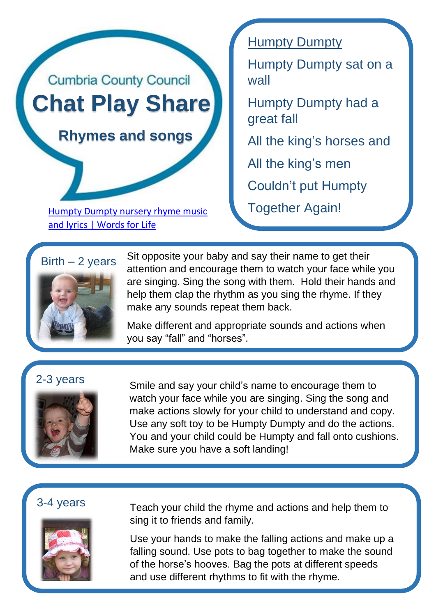

[Humpty Dumpty nursery rhyme music](https://wordsforlife.org.uk/activities/humpty-dumpty-nursery-rhyme/) Together Again! [and lyrics | Words for Life](https://wordsforlife.org.uk/activities/humpty-dumpty-nursery-rhyme/)

### **Humpty Dumpty**

Humpty Dumpty sat on a wall

Humpty Dumpty had a great fall

All the king's horses and

All the king's men

Couldn't put Humpty

# $Birth - 2 years$



Sit opposite your baby and say their name to get their attention and encourage them to watch your face while you are singing. Sing the song with them. Hold their hands and help them clap the rhythm as you sing the rhyme. If they make any sounds repeat them back.

Make different and appropriate sounds and actions when you say "fall" and "horses".



2-3 years Smile and [say your child's name to encourage them](https://wordsforlife.org.uk/activities/humpty-dumpty-nursery-rhyme/) to watch your face while you are singing. Sing the song and make actions slowly for your child to understand and copy. Use any soft toy to be Humpty Dumpty and do the actions. You and your child could be Humpty and fall onto cushions. Make sure you have a soft landing!

## 3-4 years



Teach your child the rhyme and actions and help them to sing it to friends and family.

Use your hands to make the falling actions and make up a falling sound. Use pots to bag together to make the sound of the horse's hooves. Bag the pots at different speeds and use different rhythms to fit with the rhyme.